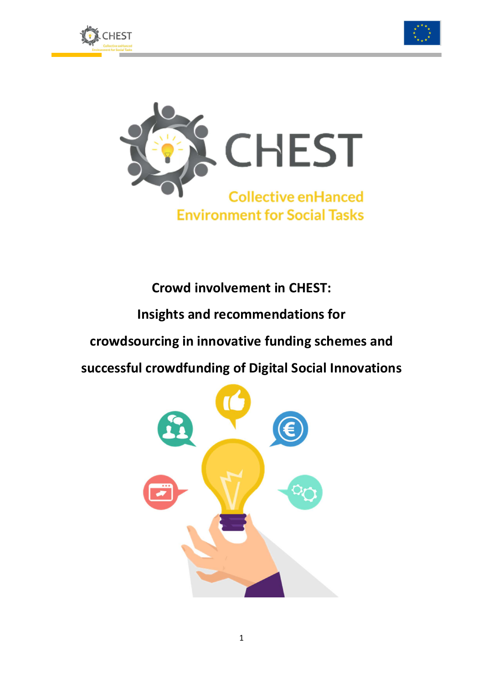





**Crowd involvement in CHEST: Insights and recommendations for crowdsourcing in innovative funding schemes and successful crowdfunding of Digital Social Innovations**

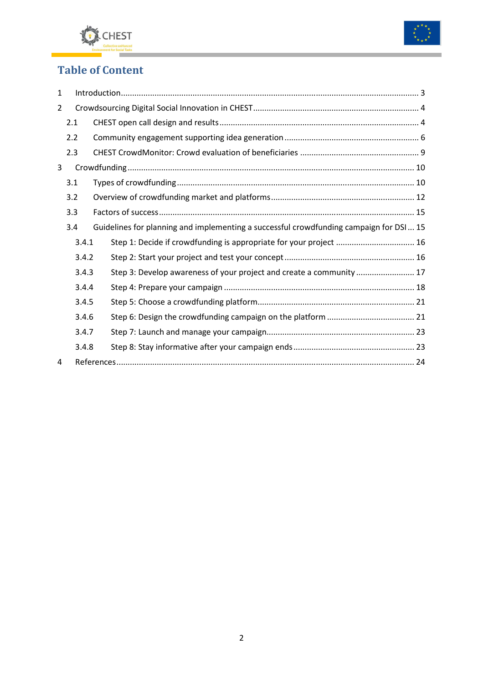



# **Table of Content**

| $\mathbf{1}$ |       |       |                                                                                         |  |  |  |  |
|--------------|-------|-------|-----------------------------------------------------------------------------------------|--|--|--|--|
| 2            |       |       |                                                                                         |  |  |  |  |
|              | 2.1   |       |                                                                                         |  |  |  |  |
|              | 2.2   |       |                                                                                         |  |  |  |  |
|              | 2.3   |       |                                                                                         |  |  |  |  |
| 3            |       |       |                                                                                         |  |  |  |  |
|              | 3.1   |       |                                                                                         |  |  |  |  |
|              | 3.2   |       |                                                                                         |  |  |  |  |
|              | 3.3   |       |                                                                                         |  |  |  |  |
|              | 3.4   |       | Guidelines for planning and implementing a successful crowdfunding campaign for DSI  15 |  |  |  |  |
|              | 3.4.1 |       | Step 1: Decide if crowdfunding is appropriate for your project  16                      |  |  |  |  |
|              |       | 3.4.2 |                                                                                         |  |  |  |  |
|              | 3.4.3 |       | Step 3: Develop awareness of your project and create a community  17                    |  |  |  |  |
|              | 3.4.4 |       |                                                                                         |  |  |  |  |
|              | 3.4.5 |       |                                                                                         |  |  |  |  |
|              | 3.4.6 |       |                                                                                         |  |  |  |  |
|              | 3.4.7 |       |                                                                                         |  |  |  |  |
|              | 3.4.8 |       |                                                                                         |  |  |  |  |
| 4            |       |       |                                                                                         |  |  |  |  |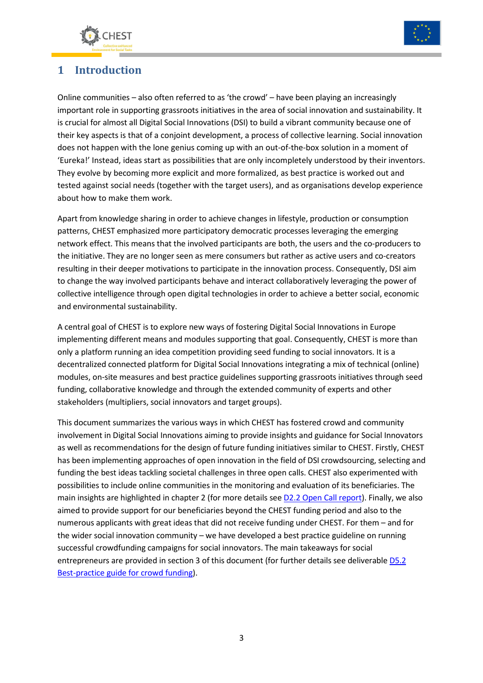



# **1 Introduction**

Online communities – also often referred to as 'the crowd' – have been playing an increasingly important role in supporting grassroots initiatives in the area of social innovation and sustainability. It is crucial for almost all Digital Social Innovations (DSI) to build a vibrant community because one of their key aspects is that of a conjoint development, a process of collective learning. Social innovation does not happen with the lone genius coming up with an out-of-the-box solution in a moment of 'Eureka!' Instead, ideas start as possibilities that are only incompletely understood by their inventors. They evolve by becoming more explicit and more formalized, as best practice is worked out and tested against social needs (together with the target users), and as organisations develop experience about how to make them work.

Apart from knowledge sharing in order to achieve changes in lifestyle, production or consumption patterns, CHEST emphasized more participatory democratic processes leveraging the emerging network effect. This means that the involved participants are both, the users and the co-producers to the initiative. They are no longer seen as mere consumers but rather as active users and co-creators resulting in their deeper motivations to participate in the innovation process. Consequently, DSI aim to change the way involved participants behave and interact collaboratively leveraging the power of collective intelligence through open digital technologies in order to achieve a better social, economic and environmental sustainability.

A central goal of CHEST is to explore new ways of fostering Digital Social Innovations in Europe implementing different means and modules supporting that goal. Consequently, CHEST is more than only a platform running an idea competition providing seed funding to social innovators. It is a decentralized connected platform for Digital Social Innovations integrating a mix of technical (online) modules, on-site measures and best practice guidelines supporting grassroots initiatives through seed funding, collaborative knowledge and through the extended community of experts and other stakeholders (multipliers, social innovators and target groups).

This document summarizes the various ways in which CHEST has fostered crowd and community involvement in Digital Social Innovations aiming to provide insights and guidance for Social Innovators as well as recommendations for the design of future funding initiatives similar to CHEST. Firstly, CHEST has been implementing approaches of open innovation in the field of DSI crowdsourcing, selecting and funding the best ideas tackling societal challenges in three open calls. CHEST also experimented with possibilities to include online communities in the monitoring and evaluation of its beneficiaries. The main insights are highlighted in chapter 2 (for more details see D2.2 Open Call report). Finally, we also aimed to provide support for our beneficiaries beyond the CHEST funding period and also to the numerous applicants with great ideas that did not receive funding under CHEST. For them – and for the wider social innovation community – we have developed a best practice guideline on running successful crowdfunding campaigns for social innovators. The main takeaways for social entrepreneurs are provided in section 3 of this document (for further details see deliverable D5.2 Best-practice guide for crowd funding).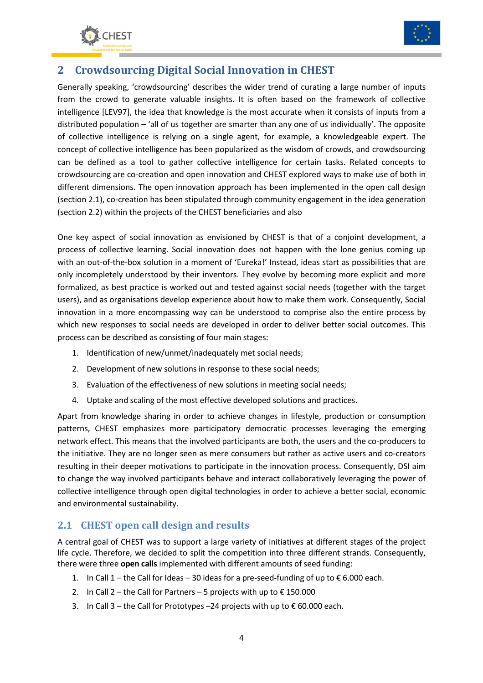



# **2 Crowdsourcing Digital Social Innovation in CHEST**

Generally speaking, 'crowdsourcing' describes the wider trend of curating a large number of inputs from the crowd to generate valuable insights. It is often based on the framework of collective intelligence [LEV97], the idea that knowledge is the most accurate when it consists of inputs from a distributed population – 'all of us together are smarter than any one of us individually'. The opposite of collective intelligence is relying on a single agent, for example, a knowledgeable expert. The concept of collective intelligence has been popularized as the wisdom of crowds, and crowdsourcing can be defined as a tool to gather collective intelligence for certain tasks. Related concepts to crowdsourcing are co-creation and open innovation and CHEST explored ways to make use of both in different dimensions. The open innovation approach has been implemented in the open call design (section 2.1), co-creation has been stipulated through community engagement in the idea generation (section 2.2) within the projects of the CHEST beneficiaries and also

One key aspect of social innovation as envisioned by CHEST is that of a conjoint development, a process of collective learning. Social innovation does not happen with the lone genius coming up with an out-of-the-box solution in a moment of 'Eureka!' Instead, ideas start as possibilities that are only incompletely understood by their inventors. They evolve by becoming more explicit and more formalized, as best practice is worked out and tested against social needs (together with the target users), and as organisations develop experience about how to make them work. Consequently, Social innovation in a more encompassing way can be understood to comprise also the entire process by which new responses to social needs are developed in order to deliver better social outcomes. This process can be described as consisting of four main stages:

- 1. Identification of new/unmet/inadequately met social needs;
- 2. Development of new solutions in response to these social needs;
- 3. Evaluation of the effectiveness of new solutions in meeting social needs;
- 4. Uptake and scaling of the most effective developed solutions and practices.

Apart from knowledge sharing in order to achieve changes in lifestyle, production or consumption patterns, CHEST emphasizes more participatory democratic processes leveraging the emerging network effect. This means that the involved participants are both, the users and the co-producers to the initiative. They are no longer seen as mere consumers but rather as active users and co-creators resulting in their deeper motivations to participate in the innovation process. Consequently, DSI aim to change the way involved participants behave and interact collaboratively leveraging the power of collective intelligence through open digital technologies in order to achieve a better social, economic and environmental sustainability.

## **2.1 CHEST open call design and results**

A central goal of CHEST was to support a large variety of initiatives at different stages of the project life cycle. Therefore, we decided to split the competition into three different strands. Consequently, there were three **open calls** implemented with different amounts of seed funding:

- 1. In Call 1 the Call for Ideas 30 ideas for a pre-seed-funding of up to  $€ 6.000$  each.
- 2. In Call 2 the Call for Partners 5 projects with up to € 150.000
- 3. In Call 3 the Call for Prototypes –24 projects with up to € 60.000 each.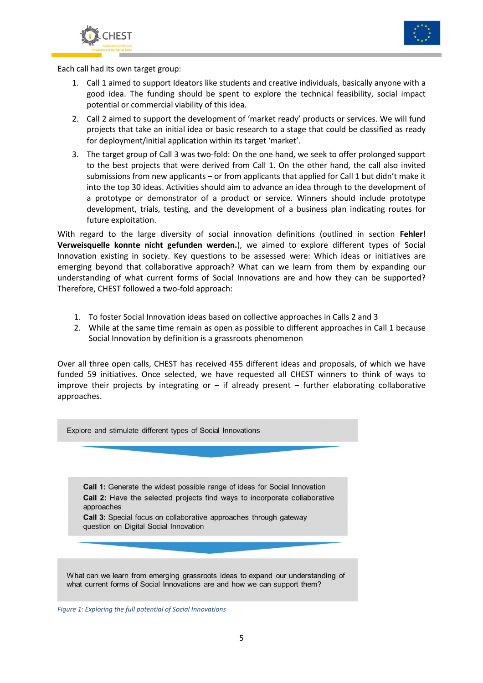



Each call had its own target group:

- 1. Call 1 aimed to support Ideators like students and creative individuals, basically anyone with a good idea. The funding should be spent to explore the technical feasibility, social impact potential or commercial viability of this idea.
- 2. Call 2 aimed to support the development of 'market ready' products or services. We will fund projects that take an initial idea or basic research to a stage that could be classified as ready for deployment/initial application within its target 'market'.
- 3. The target group of Call 3 was two-fold: On the one hand, we seek to offer prolonged support to the best projects that were derived from Call 1. On the other hand, the call also invited submissions from new applicants – or from applicants that applied for Call 1 but didn't make it into the top 30 ideas. Activities should aim to advance an idea through to the development of a prototype or demonstrator of a product or service. Winners should include prototype development, trials, testing, and the development of a business plan indicating routes for future exploitation.

With regard to the large diversity of social innovation definitions (outlined in section **Fehler! Verweisquelle konnte nicht gefunden werden.**), we aimed to explore different types of Social Innovation existing in society. Key questions to be assessed were: Which ideas or initiatives are emerging beyond that collaborative approach? What can we learn from them by expanding our understanding of what current forms of Social Innovations are and how they can be supported? Therefore, CHEST followed a two-fold approach:

- 1. To foster Social Innovation ideas based on collective approaches in Calls 2 and 3
- 2. While at the same time remain as open as possible to different approaches in Call 1 because Social Innovation by definition is a grassroots phenomenon

Over all three open calls, CHEST has received 455 different ideas and proposals, of which we have funded 59 initiatives. Once selected, we have requested all CHEST winners to think of ways to improve their projects by integrating or  $-$  if already present  $-$  further elaborating collaborative approaches.

Explore and stimulate different types of Social Innovations

Call 1: Generate the widest possible range of ideas for Social Innovation Call 2: Have the selected projects find ways to incorporate collaborative approaches

Call 3: Special focus on collaborative approaches through gateway question on Digital Social Innovation

What can we learn from emerging grassroots ideas to expand our understanding of what current forms of Social Innovations are and how we can support them?

*Figure 1: Exploring the full potential of Social Innovations*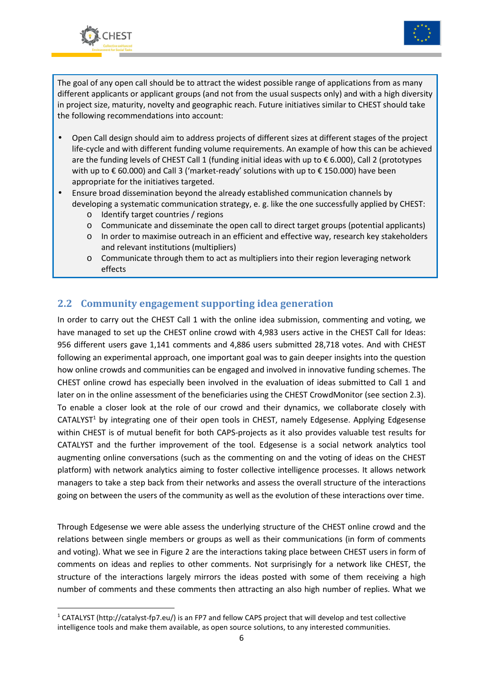



The goal of any open call should be to attract the widest possible range of applications from as many different applicants or applicant groups (and not from the usual suspects only) and with a high diversity in project size, maturity, novelty and geographic reach. Future initiatives similar to CHEST should take the following recommendations into account:

- Open Call design should aim to address projects of different sizes at different stages of the project life-cycle and with different funding volume requirements. An example of how this can be achieved are the funding levels of CHEST Call 1 (funding initial ideas with up to € 6.000), Call 2 (prototypes with up to € 60.000) and Call 3 ('market-ready' solutions with up to € 150.000) have been appropriate for the initiatives targeted.
- Ensure broad dissemination beyond the already established communication channels by developing a systematic communication strategy, e. g. like the one successfully applied by CHEST:
	- o Identify target countries / regions
	- o Communicate and disseminate the open call to direct target groups (potential applicants)
	- o In order to maximise outreach in an efficient and effective way, research key stakeholders and relevant institutions (multipliers)
	- o Communicate through them to act as multipliers into their region leveraging network effects

## **2.2 Community engagement supporting idea generation**

In order to carry out the CHEST Call 1 with the online idea submission, commenting and voting, we have managed to set up the CHEST online crowd with 4,983 users active in the CHEST Call for Ideas: 956 different users gave 1,141 comments and 4,886 users submitted 28,718 votes. And with CHEST following an experimental approach, one important goal was to gain deeper insights into the question how online crowds and communities can be engaged and involved in innovative funding schemes. The CHEST online crowd has especially been involved in the evaluation of ideas submitted to Call 1 and later on in the online assessment of the beneficiaries using the CHEST CrowdMonitor (see section 2.3). To enable a closer look at the role of our crowd and their dynamics, we collaborate closely with CATALYST<sup>1</sup> by integrating one of their open tools in CHEST, namely Edgesense. Applying Edgesense within CHEST is of mutual benefit for both CAPS-projects as it also provides valuable test results for CATALYST and the further improvement of the tool. Edgesense is a social network analytics tool augmenting online conversations (such as the commenting on and the voting of ideas on the CHEST platform) with network analytics aiming to foster collective intelligence processes. It allows network managers to take a step back from their networks and assess the overall structure of the interactions going on between the users of the community as well as the evolution of these interactions over time.

Through Edgesense we were able assess the underlying structure of the CHEST online crowd and the relations between single members or groups as well as their communications (in form of comments and voting). What we see in Figure 2 are the interactions taking place between CHEST users in form of comments on ideas and replies to other comments. Not surprisingly for a network like CHEST, the structure of the interactions largely mirrors the ideas posted with some of them receiving a high number of comments and these comments then attracting an also high number of replies. What we

<sup>&</sup>lt;sup>1</sup> CATALYST (http://catalyst-fp7.eu/) is an FP7 and fellow CAPS project that will develop and test collective intelligence tools and make them available, as open source solutions, to any interested communities.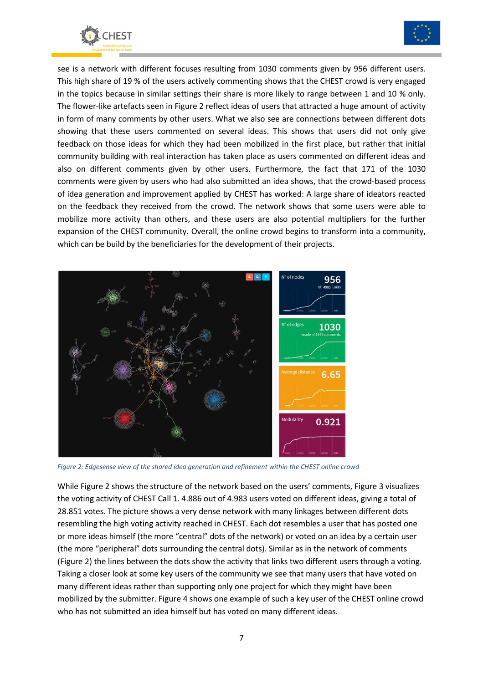



see is a network with different focuses resulting from 1030 comments given by 956 different users. This high share of 19 % of the users actively commenting shows that the CHEST crowd is very engaged in the topics because in similar settings their share is more likely to range between 1 and 10 % only. The flower-like artefacts seen in Figure 2 reflect ideas of users that attracted a huge amount of activity in form of many comments by other users. What we also see are connections between different dots showing that these users commented on several ideas. This shows that users did not only give feedback on those ideas for which they had been mobilized in the first place, but rather that initial community building with real interaction has taken place as users commented on different ideas and also on different comments given by other users. Furthermore, the fact that 171 of the 1030 comments were given by users who had also submitted an idea shows, that the crowd-based process of idea generation and improvement applied by CHEST has worked: A large share of ideators reacted on the feedback they received from the crowd. The network shows that some users were able to mobilize more activity than others, and these users are also potential multipliers for the further expansion of the CHEST community. Overall, the online crowd begins to transform into a community, which can be build by the beneficiaries for the development of their projects.



*Figure 2: Edgesense view of the shared idea generation and refinement within the CHEST online crowd* 

While Figure 2 shows the structure of the network based on the users' comments, Figure 3 visualizes the voting activity of CHEST Call 1. 4.886 out of 4.983 users voted on different ideas, giving a total of 28.851 votes. The picture shows a very dense network with many linkages between different dots resembling the high voting activity reached in CHEST. Each dot resembles a user that has posted one or more ideas himself (the more "central" dots of the network) or voted on an idea by a certain user (the more "peripheral" dots surrounding the central dots). Similar as in the network of comments (Figure 2) the lines between the dots show the activity that links two different users through a voting. Taking a closer look at some key users of the community we see that many users that have voted on many different ideas rather than supporting only one project for which they might have been mobilized by the submitter. Figure 4 shows one example of such a key user of the CHEST online crowd who has not submitted an idea himself but has voted on many different ideas.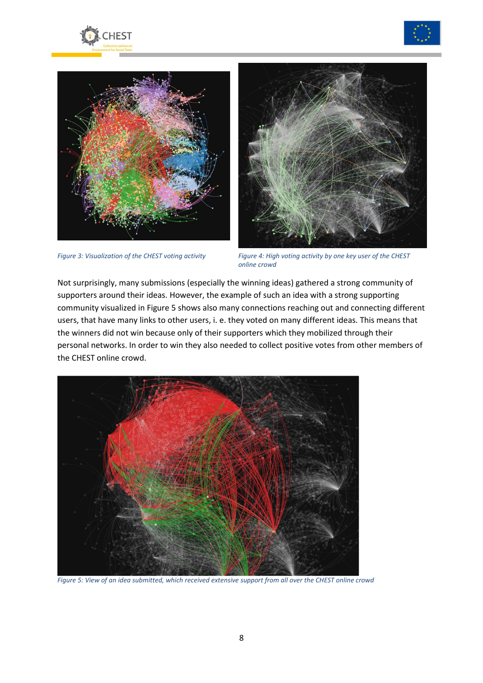







*Figure 3: Visualization of the CHEST voting activity Figure 4: High voting activity by one key user of the CHEST online crowd* 

Not surprisingly, many submissions (especially the winning ideas) gathered a strong community of supporters around their ideas. However, the example of such an idea with a strong supporting community visualized in Figure 5 shows also many connections reaching out and connecting different users, that have many links to other users, i. e. they voted on many different ideas. This means that the winners did not win because only of their supporters which they mobilized through their personal networks. In order to win they also needed to collect positive votes from other members of the CHEST online crowd.



*Figure 5: View of an idea submitted, which received extensive support from all over the CHEST online crowd*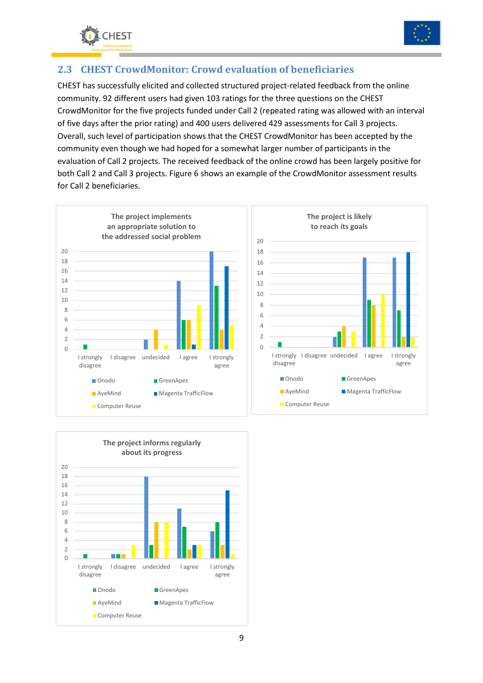



## **2.3 CHEST CrowdMonitor: Crowd evaluation of beneficiaries**

CHEST has successfully elicited and collected structured project-related feedback from the online community. 92 different users had given 103 ratings for the three questions on the CHEST CrowdMonitor for the five projects funded under Call 2 (repeated rating was allowed with an interval of five days after the prior rating) and 400 users delivered 429 assessments for Call 3 projects. Overall, such level of participation shows that the CHEST CrowdMonitor has been accepted by the community even though we had hoped for a somewhat larger number of participants in the evaluation of Call 2 projects. The received feedback of the online crowd has been largely positive for both Call 2 and Call 3 projects. Figure 6 shows an example of the CrowdMonitor assessment results for Call 2 beneficiaries.



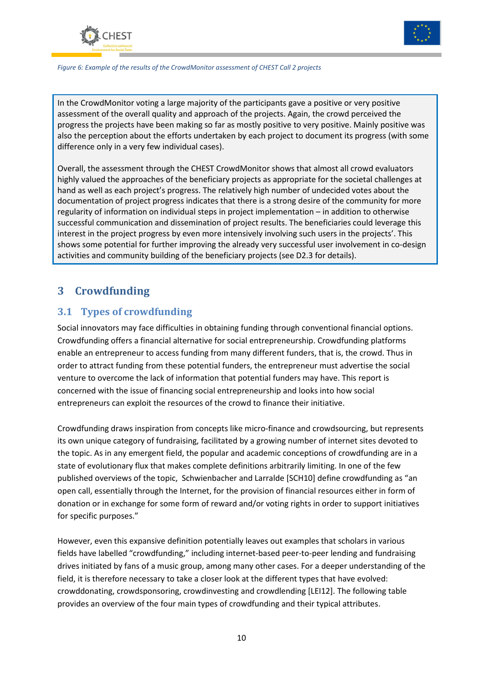



*Figure 6: Example of the results of the CrowdMonitor assessment of CHEST Call 2 projects* 

In the CrowdMonitor voting a large majority of the participants gave a positive or very positive assessment of the overall quality and approach of the projects. Again, the crowd perceived the progress the projects have been making so far as mostly positive to very positive. Mainly positive was also the perception about the efforts undertaken by each project to document its progress (with some difference only in a very few individual cases).

Overall, the assessment through the CHEST CrowdMonitor shows that almost all crowd evaluators highly valued the approaches of the beneficiary projects as appropriate for the societal challenges at hand as well as each project's progress. The relatively high number of undecided votes about the documentation of project progress indicates that there is a strong desire of the community for more regularity of information on individual steps in project implementation – in addition to otherwise successful communication and dissemination of project results. The beneficiaries could leverage this interest in the project progress by even more intensively involving such users in the projects'. This shows some potential for further improving the already very successful user involvement in co-design activities and community building of the beneficiary projects (see D2.3 for details).

## **3 Crowdfunding**

## **3.1 Types of crowdfunding**

Social innovators may face difficulties in obtaining funding through conventional financial options. Crowdfunding offers a financial alternative for social entrepreneurship. Crowdfunding platforms enable an entrepreneur to access funding from many different funders, that is, the crowd. Thus in order to attract funding from these potential funders, the entrepreneur must advertise the social venture to overcome the lack of information that potential funders may have. This report is concerned with the issue of financing social entrepreneurship and looks into how social entrepreneurs can exploit the resources of the crowd to finance their initiative.

Crowdfunding draws inspiration from concepts like micro-finance and crowdsourcing, but represents its own unique category of fundraising, facilitated by a growing number of internet sites devoted to the topic. As in any emergent field, the popular and academic conceptions of crowdfunding are in a state of evolutionary flux that makes complete definitions arbitrarily limiting. In one of the few published overviews of the topic, Schwienbacher and Larralde [SCH10] define crowdfunding as "an open call, essentially through the Internet, for the provision of financial resources either in form of donation or in exchange for some form of reward and/or voting rights in order to support initiatives for specific purposes."

However, even this expansive definition potentially leaves out examples that scholars in various fields have labelled "crowdfunding," including internet-based peer-to-peer lending and fundraising drives initiated by fans of a music group, among many other cases. For a deeper understanding of the field, it is therefore necessary to take a closer look at the different types that have evolved: crowddonating, crowdsponsoring, crowdinvesting and crowdlending [LEI12]. The following table provides an overview of the four main types of crowdfunding and their typical attributes.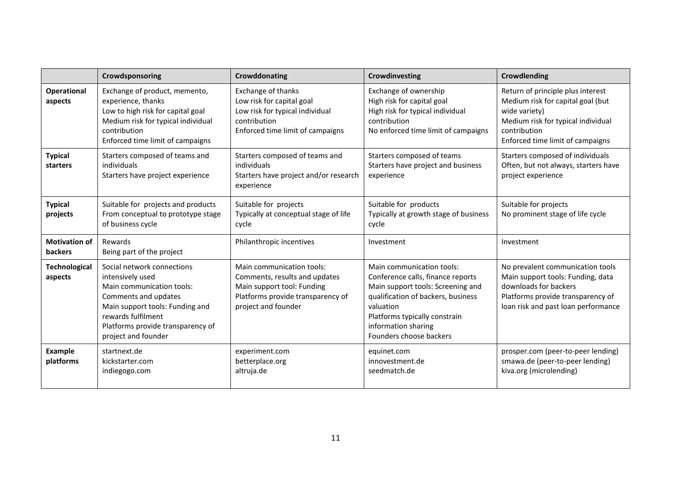|                                        | Crowdsponsoring                                                                                                                                                                                                          | Crowddonating                                                                                                                                        | Crowdinvesting                                                                                                                                                                                                                            | Crowdlending                                                                                                                                                                      |
|----------------------------------------|--------------------------------------------------------------------------------------------------------------------------------------------------------------------------------------------------------------------------|------------------------------------------------------------------------------------------------------------------------------------------------------|-------------------------------------------------------------------------------------------------------------------------------------------------------------------------------------------------------------------------------------------|-----------------------------------------------------------------------------------------------------------------------------------------------------------------------------------|
| <b>Operational</b><br>aspects          | Exchange of product, memento,<br>experience, thanks<br>Low to high risk for capital goal<br>Medium risk for typical individual<br>contribution<br>Enforced time limit of campaigns                                       | <b>Exchange of thanks</b><br>Low risk for capital goal<br>Low risk for typical individual<br>contribution<br>Enforced time limit of campaigns        | Exchange of ownership<br>High risk for capital goal<br>High risk for typical individual<br>contribution<br>No enforced time limit of campaigns                                                                                            | Return of principle plus interest<br>Medium risk for capital goal (but<br>wide variety)<br>Medium risk for typical individual<br>contribution<br>Enforced time limit of campaigns |
| <b>Typical</b><br>starters             | Starters composed of teams and<br>individuals<br>Starters have project experience                                                                                                                                        | Starters composed of teams and<br>individuals<br>Starters have project and/or research<br>experience                                                 | Starters composed of teams<br>Starters have project and business<br>experience                                                                                                                                                            | Starters composed of individuals<br>Often, but not always, starters have<br>project experience                                                                                    |
| <b>Typical</b><br>projects             | Suitable for projects and products<br>From conceptual to prototype stage<br>of business cycle                                                                                                                            | Suitable for projects<br>Typically at conceptual stage of life<br>cycle                                                                              | Suitable for products<br>Typically at growth stage of business<br>cycle                                                                                                                                                                   | Suitable for projects<br>No prominent stage of life cycle                                                                                                                         |
| <b>Motivation of</b><br><b>backers</b> | Rewards<br>Being part of the project                                                                                                                                                                                     | Philanthropic incentives                                                                                                                             | Investment                                                                                                                                                                                                                                | Investment                                                                                                                                                                        |
| <b>Technological</b><br>aspects        | Social network connections<br>intensively used<br>Main communication tools:<br>Comments and updates<br>Main support tools: Funding and<br>rewards fulfilment<br>Platforms provide transparency of<br>project and founder | Main communication tools:<br>Comments, results and updates<br>Main support tool: Funding<br>Platforms provide transparency of<br>project and founder | Main communication tools:<br>Conference calls, finance reports<br>Main support tools: Screening and<br>qualification of backers, business<br>valuation<br>Platforms typically constrain<br>information sharing<br>Founders choose backers | No prevalent communication tools<br>Main support tools: Funding, data<br>downloads for backers<br>Platforms provide transparency of<br>loan risk and past loan performance        |
| <b>Example</b><br>platforms            | startnext.de<br>kickstarter.com<br>indiegogo.com                                                                                                                                                                         | experiment.com<br>betterplace.org<br>altruja.de                                                                                                      | equinet.com<br>innovestment.de<br>seedmatch.de                                                                                                                                                                                            | prosper.com (peer-to-peer lending)<br>smawa.de (peer-to-peer lending)<br>kiva.org (microlending)                                                                                  |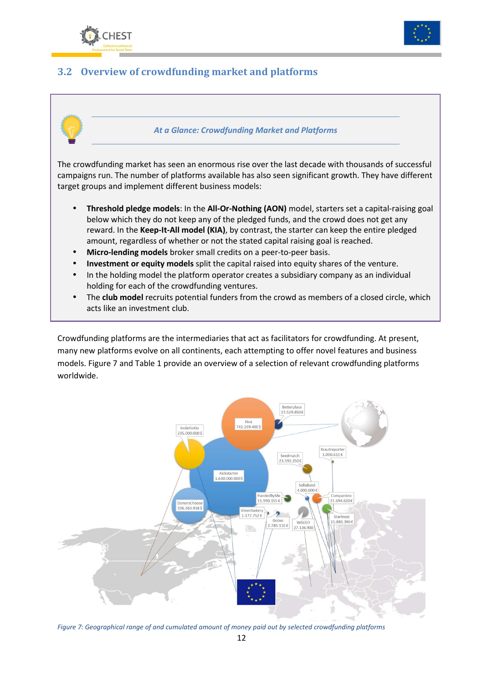



## **3.2 Overview of crowdfunding market and platforms**



The crowdfunding market has seen an enormous rise over the last decade with thousands of successful campaigns run. The number of platforms available has also seen significant growth. They have different target groups and implement different business models:

- **Threshold pledge models**: In the **All-Or-Nothing (AON)** model, starters set a capital-raising goal below which they do not keep any of the pledged funds, and the crowd does not get any reward. In the **Keep-It-All model (KIA)**, by contrast, the starter can keep the entire pledged amount, regardless of whether or not the stated capital raising goal is reached.
- **Micro-lending models** broker small credits on a peer-to-peer basis.
- **Investment or equity models** split the capital raised into equity shares of the venture.
- In the holding model the platform operator creates a subsidiary company as an individual holding for each of the crowdfunding ventures.
- The **club model** recruits potential funders from the crowd as members of a closed circle, which acts like an investment club.

Crowdfunding platforms are the intermediaries that act as facilitators for crowdfunding. At present, many new platforms evolve on all continents, each attempting to offer novel features and business models. Figure 7 and Table 1 provide an overview of a selection of relevant crowdfunding platforms worldwide.



*Figure 7: Geographical range of and cumulated amount of money paid out by selected crowdfunding platforms*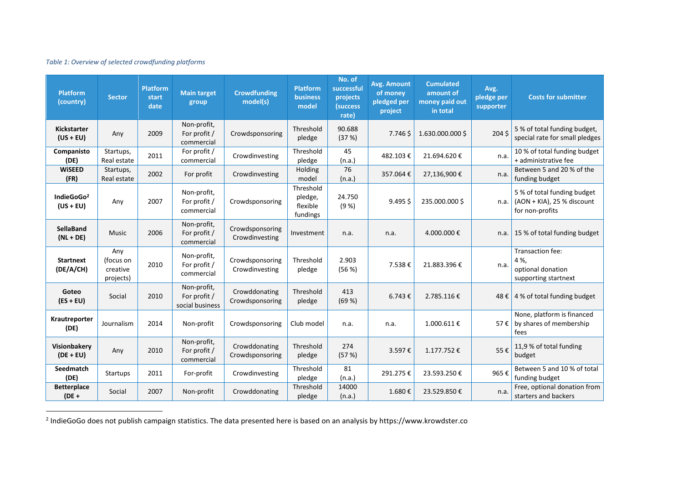#### *Table 1: Overview of selected crowdfunding platforms*

| <b>Platform</b><br>(country)          | <b>Sector</b>                             | <b>Platform</b><br>start<br>date | <b>Main target</b><br>group                    | <b>Crowdfunding</b><br>model(s)   | <b>Platform</b><br><b>business</b><br>model  | No. of<br>successful<br>projects<br>(success<br>rate) | Avg. Amount<br>of money<br>pledged per<br>project | <b>Cumulated</b><br>amount of<br>money paid out<br>in total | Avg.<br>pledge per<br>supporter | <b>Costs for submitter</b>                                                   |
|---------------------------------------|-------------------------------------------|----------------------------------|------------------------------------------------|-----------------------------------|----------------------------------------------|-------------------------------------------------------|---------------------------------------------------|-------------------------------------------------------------|---------------------------------|------------------------------------------------------------------------------|
| <b>Kickstarter</b><br>$(US + EU)$     | Any                                       | 2009                             | Non-profit,<br>For profit /<br>commercial      | Crowdsponsoring                   | Threshold<br>pledge                          | 90.688<br>(37%)                                       | 7.746 \$                                          | 1.630.000.000\$                                             | 204 <sub>5</sub>                | 5 % of total funding budget,<br>special rate for small pledges               |
| Companisto<br>(DE)                    | Startups,<br>Real estate                  | 2011                             | For profit /<br>commercial                     | Crowdinvesting                    | Threshold<br>pledge                          | 45<br>(n.a.)                                          | 482.103€                                          | 21.694.620€                                                 | n.a.                            | 10 % of total funding budget<br>+ administrative fee                         |
| <b>WiSEED</b><br>(FR)                 | Startups,<br>Real estate                  | 2002                             | For profit                                     | Crowdinvesting                    | Holding<br>model                             | 76<br>(n.a.)                                          | 357.064€                                          | 27,136,900€                                                 | n.a.                            | Between 5 and 20 % of the<br>funding budget                                  |
| IndieGoGo <sup>2</sup><br>$(US + EU)$ | Any                                       | 2007                             | Non-profit,<br>For profit /<br>commercial      | Crowdsponsoring                   | Threshold<br>pledge,<br>flexible<br>fundings | 24.750<br>(9%)                                        | $9.495$ \$                                        | 235.000.000\$                                               | n.a.                            | 5 % of total funding budget<br>(AON + KIA), 25 % discount<br>for non-profits |
| SellaBand<br>$(NL + DE)$              | <b>Music</b>                              | 2006                             | Non-profit,<br>For profit /<br>commercial      | Crowdsponsoring<br>Crowdinvesting | Investment                                   | n.a.                                                  | n.a.                                              | 4.000.000€                                                  | n.a.                            | 15 % of total funding budget                                                 |
| <b>Startnext</b><br>(DE/A/CH)         | Any<br>(focus on<br>creative<br>projects) | 2010                             | Non-profit,<br>For profit /<br>commercial      | Crowdsponsoring<br>Crowdinvesting | Threshold<br>pledge                          | 2.903<br>(56 %)                                       | 7.538€                                            | 21.883.396€                                                 | n.a.                            | Transaction fee:<br>4%.<br>optional donation<br>supporting startnext         |
| Goteo<br>$(ES + EU)$                  | Social                                    | 2010                             | Non-profit,<br>For profit /<br>social business | Crowddonating<br>Crowdsponsoring  | Threshold<br>pledge                          | 413<br>(69%)                                          | $6.743 \notin$                                    | 2.785.116€                                                  |                                 | 48 € 4 % of total funding budget                                             |
| Krautreporter<br>(DE)                 | Journalism                                | 2014                             | Non-profit                                     | Crowdsponsoring                   | Club model                                   | n.a.                                                  | n.a.                                              | 1.000.611€                                                  | 57€                             | None, platform is financed<br>by shares of membership<br>fees                |
| Visionbakery<br>$(DE + EU)$           | Any                                       | 2010                             | Non-profit,<br>For profit /<br>commercial      | Crowddonating<br>Crowdsponsoring  | Threshold<br>pledge                          | 274<br>(57%)                                          | 3.597€                                            | 1.177.752€                                                  | 55€                             | 11,9 % of total funding<br>budget                                            |
| Seedmatch<br>(DE)                     | Startups                                  | 2011                             | For-profit                                     | Crowdinvesting                    | Threshold<br>pledge                          | 81<br>(n.a.)                                          | 291.275€                                          | 23.593.250€                                                 | 965€                            | Between 5 and 10 % of total<br>funding budget                                |
| <b>Betterplace</b><br>$(DE +$         | Social                                    | 2007                             | Non-profit                                     | Crowddonating                     | Threshold<br>pledge                          | 14000<br>(n.a.)                                       | 1.680€                                            | 23.529.850€                                                 | n.a.                            | Free, optional donation from<br>starters and backers                         |

<sup>2</sup> IndieGoGo does not publish campaign statistics. The data presented here is based on an analysis by https://www.krowdster.co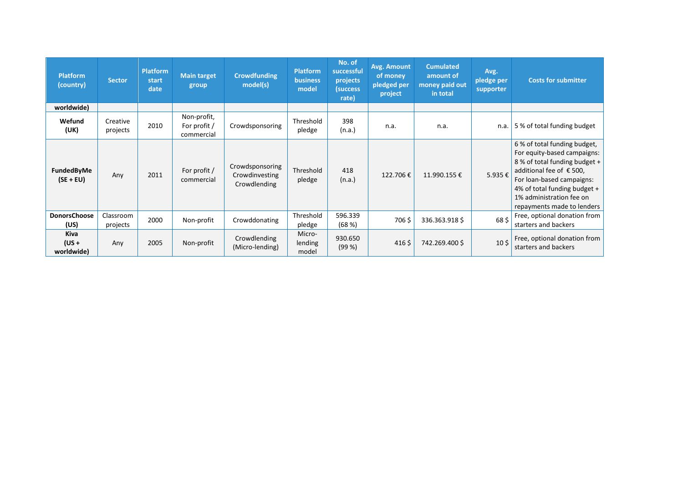| <b>Platform</b><br>(country)  | <b>Sector</b>         | <b>Platform</b><br>start<br>date | <b>Main target</b><br>group               | <b>Crowdfunding</b><br>model(s)                   | <b>Platform</b><br><b>business</b><br>model | No. of<br>successful<br>projects<br>(success)<br>rate) | Avg. Amount<br>of money<br>pledged per<br>project | <b>Cumulated</b><br>amount of<br>money paid out<br>in total | Avg.<br>pledge per<br>supporter | <b>Costs for submitter</b>                                                                                                                                                                                                                     |
|-------------------------------|-----------------------|----------------------------------|-------------------------------------------|---------------------------------------------------|---------------------------------------------|--------------------------------------------------------|---------------------------------------------------|-------------------------------------------------------------|---------------------------------|------------------------------------------------------------------------------------------------------------------------------------------------------------------------------------------------------------------------------------------------|
| worldwide)                    |                       |                                  |                                           |                                                   |                                             |                                                        |                                                   |                                                             |                                 |                                                                                                                                                                                                                                                |
| Wefund<br>(UK)                | Creative<br>projects  | 2010                             | Non-profit,<br>For profit /<br>commercial | Crowdsponsoring                                   | Threshold<br>pledge                         | 398<br>(n.a.)                                          | n.a.                                              | n.a.                                                        | n.a.                            | 5 % of total funding budget                                                                                                                                                                                                                    |
| FundedByMe<br>$(SE + EU)$     | Any                   | 2011                             | For profit /<br>commercial                | Crowdsponsoring<br>Crowdinvesting<br>Crowdlending | Threshold<br>pledge                         | 418<br>(n.a.)                                          | 122.706€                                          | 11.990.155€                                                 | 5.935€                          | 6 % of total funding budget,<br>For equity-based campaigns:<br>8 % of total funding budget +<br>additional fee of €500,<br>For loan-based campaigns:<br>4% of total funding budget +<br>1% administration fee on<br>repayments made to lenders |
| <b>DonorsChoose</b><br>(US)   | Classroom<br>projects | 2000                             | Non-profit                                | Crowddonating                                     | Threshold<br>pledge                         | 596.339<br>(68%)                                       | 706\$                                             | 336.363.918\$                                               | 68\$                            | Free, optional donation from<br>starters and backers                                                                                                                                                                                           |
| Kiva<br>$(US +$<br>worldwide) | Any                   | 2005                             | Non-profit                                | Crowdlending<br>(Micro-lending)                   | Micro-<br>lending<br>model                  | 930.650<br>(99%)                                       | $416\,\frac{1}{2}$                                | 742.269.400 \$                                              | 10 <sup>5</sup>                 | Free, optional donation from<br>starters and backers                                                                                                                                                                                           |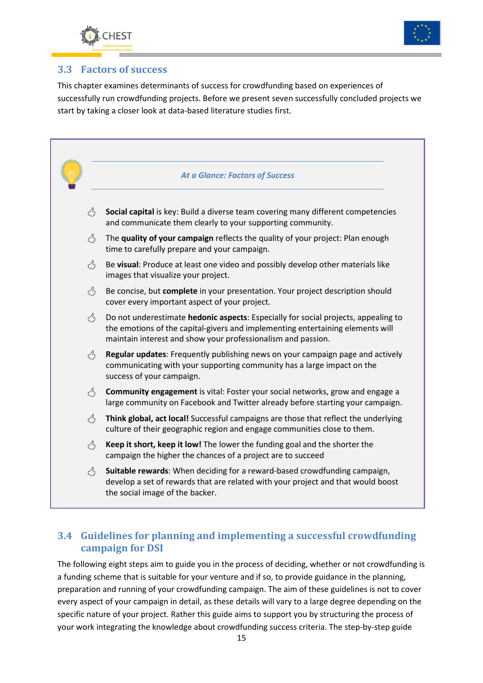



## **3.3 Factors of success**

This chapter examines determinants of success for crowdfunding based on experiences of successfully run crowdfunding projects. Before we present seven successfully concluded projects we start by taking a closer look at data-based literature studies first.



## **3.4 Guidelines for planning and implementing a successful crowdfunding campaign for DSI**

The following eight steps aim to guide you in the process of deciding, whether or not crowdfunding is a funding scheme that is suitable for your venture and if so, to provide guidance in the planning, preparation and running of your crowdfunding campaign. The aim of these guidelines is not to cover every aspect of your campaign in detail, as these details will vary to a large degree depending on the specific nature of your project. Rather this guide aims to support you by structuring the process of your work integrating the knowledge about crowdfunding success criteria. The step-by-step guide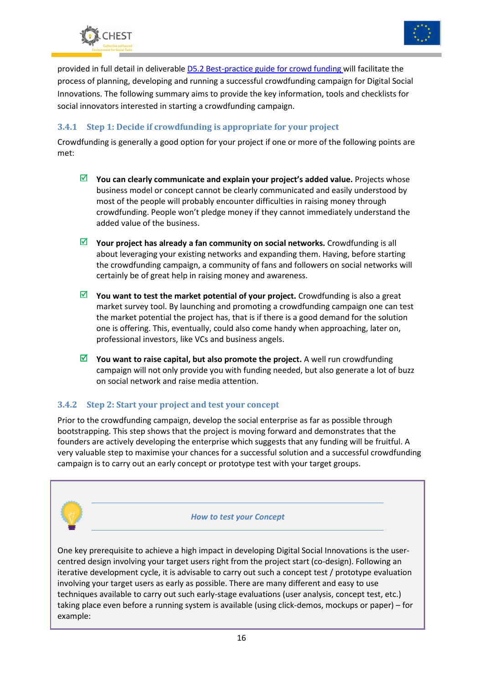



provided in full detail in deliverable D5.2 Best-practice guide for crowd funding will facilitate the process of planning, developing and running a successful crowdfunding campaign for Digital Social Innovations. The following summary aims to provide the key information, tools and checklists for social innovators interested in starting a crowdfunding campaign.

#### **3.4.1 Step 1: Decide if crowdfunding is appropriate for your project**

Crowdfunding is generally a good option for your project if one or more of the following points are met:

- $⊓$  **You can clearly communicate and explain your project's added value.** Projects whose business model or concept cannot be clearly communicated and easily understood by most of the people will probably encounter difficulties in raising money through crowdfunding. People won't pledge money if they cannot immediately understand the added value of the business.
- $\boxed{≤}$  Your project has already a fan community on social networks. Crowdfunding is all about leveraging your existing networks and expanding them. Having, before starting the crowdfunding campaign, a community of fans and followers on social networks will certainly be of great help in raising money and awareness.
- You want to test the market potential of your project. Crowdfunding is also a great market survey tool. By launching and promoting a crowdfunding campaign one can test the market potential the project has, that is if there is a good demand for the solution one is offering. This, eventually, could also come handy when approaching, later on, professional investors, like VCs and business angels.
- $⊓$  **You want to raise capital, but also promote the project.** A well run crowdfunding campaign will not only provide you with funding needed, but also generate a lot of buzz on social network and raise media attention.

### **3.4.2 Step 2: Start your project and test your concept**

Prior to the crowdfunding campaign, develop the social enterprise as far as possible through bootstrapping. This step shows that the project is moving forward and demonstrates that the founders are actively developing the enterprise which suggests that any funding will be fruitful. A very valuable step to maximise your chances for a successful solution and a successful crowdfunding campaign is to carry out an early concept or prototype test with your target groups.



iterative development cycle, it is advisable to carry out such a concept test / prototype evaluation involving your target users as early as possible. There are many different and easy to use techniques available to carry out such early-stage evaluations (user analysis, concept test, etc.) taking place even before a running system is available (using click-demos, mockups or paper) – for example: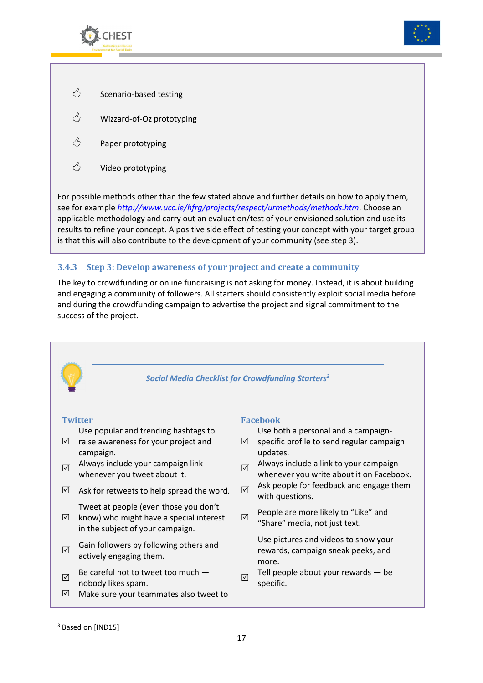



- $\circlearrowleft$  Scenario-based testing
- $\circlearrowleft$  Wizzard-of-Oz prototyping
- $\circlearrowleft$  Paper prototyping
- $\circlearrowleft$  Video prototyping

For possible methods other than the few stated above and further details on how to apply them, see for example *http://www.ucc.ie/hfrg/projects/respect/urmethods/methods.htm*. Choose an applicable methodology and carry out an evaluation/test of your envisioned solution and use its results to refine your concept. A positive side effect of testing your concept with your target group is that this will also contribute to the development of your community (see step 3).

#### **3.4.3 Step 3: Develop awareness of your project and create a community**

The key to crowdfunding or online fundraising is not asking for money. Instead, it is about building and engaging a community of followers. All starters should consistently exploit social media before and during the crowdfunding campaign to advertise the project and signal commitment to the success of the project.



<sup>3</sup> Based on [IND15]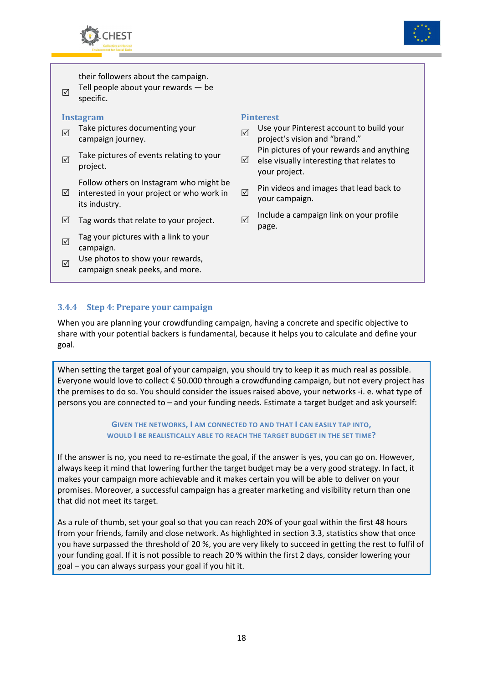



their followers about the campaign.

 $\overline{\vee}$ Tell people about your rewards — be specific.

#### **Instagram Pinterest**

- $\overline{\mathsf{M}}$ Take pictures documenting your<br>campaign journey.
- $\Delta$ Take pictures of events relating to your ⊿<br>project.

Follow others on Instagram who might be

- $\triangledown$ interested in your project or who work in its industry.
- $\boxtimes$  Tag words that relate to your project.  $\boxtimes$
- $\triangledown$ Tag your pictures with a link to your campaign.
- $\sqrt{ }$ Use photos to show your rewards, campaign sneak peeks, and more.

- Use your Pinterest account to build your project's vision and "brand." Pin pictures of your rewards and anything
- else visually interesting that relates to your project.
- $\overline{\vee}$ Pin videos and images that lead back to your campaign.
- Include a campaign link on your profile page.

#### **3.4.4 Step 4: Prepare your campaign**

When you are planning your crowdfunding campaign, having a concrete and specific objective to share with your potential backers is fundamental, because it helps you to calculate and define your goal.

When setting the target goal of your campaign, you should try to keep it as much real as possible. Everyone would love to collect € 50.000 through a crowdfunding campaign, but not every project has the premises to do so. You should consider the issues raised above, your networks -i. e. what type of persons you are connected to – and your funding needs. Estimate a target budget and ask yourself:

#### **GIVEN THE NETWORKS, I AM CONNECTED TO AND THAT I CAN EASILY TAP INTO, WOULD I BE REALISTICALLY ABLE TO REACH THE TARGET BUDGET IN THE SET TIME?**

If the answer is no, you need to re-estimate the goal, if the answer is yes, you can go on. However, always keep it mind that lowering further the target budget may be a very good strategy. In fact, it makes your campaign more achievable and it makes certain you will be able to deliver on your promises. Moreover, a successful campaign has a greater marketing and visibility return than one that did not meet its target.

As a rule of thumb, set your goal so that you can reach 20% of your goal within the first 48 hours from your friends, family and close network. As highlighted in section 3.3, statistics show that once you have surpassed the threshold of 20 %, you are very likely to succeed in getting the rest to fulfil of your funding goal. If it is not possible to reach 20 % within the first 2 days, consider lowering your goal – you can always surpass your goal if you hit it.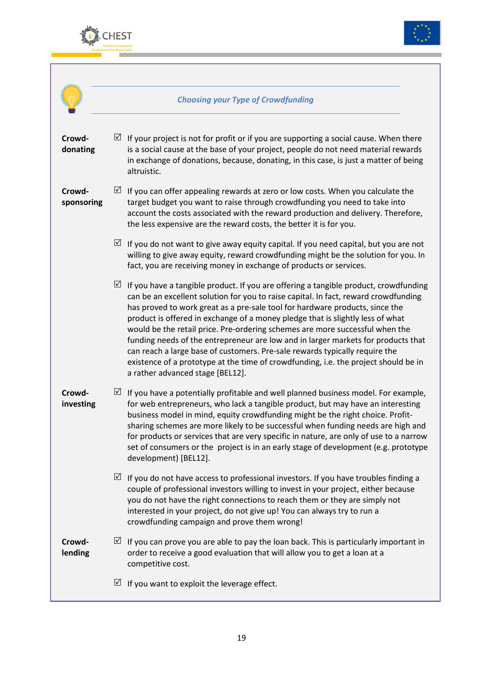



|                      | <b>Choosing your Type of Crowdfunding</b>                                                                                                                                                                                                                                                                                                                                                                                                                                                                                                                                                                                                                                                                                         |
|----------------------|-----------------------------------------------------------------------------------------------------------------------------------------------------------------------------------------------------------------------------------------------------------------------------------------------------------------------------------------------------------------------------------------------------------------------------------------------------------------------------------------------------------------------------------------------------------------------------------------------------------------------------------------------------------------------------------------------------------------------------------|
| Crowd-<br>donating   | If your project is not for profit or if you are supporting a social cause. When there<br>⊻<br>is a social cause at the base of your project, people do not need material rewards<br>in exchange of donations, because, donating, in this case, is just a matter of being<br>altruistic.                                                                                                                                                                                                                                                                                                                                                                                                                                           |
| Crowd-<br>sponsoring | ⊻<br>If you can offer appealing rewards at zero or low costs. When you calculate the<br>target budget you want to raise through crowdfunding you need to take into<br>account the costs associated with the reward production and delivery. Therefore,<br>the less expensive are the reward costs, the better it is for you.                                                                                                                                                                                                                                                                                                                                                                                                      |
|                      | ⊻<br>If you do not want to give away equity capital. If you need capital, but you are not<br>willing to give away equity, reward crowdfunding might be the solution for you. In<br>fact, you are receiving money in exchange of products or services.                                                                                                                                                                                                                                                                                                                                                                                                                                                                             |
|                      | ⊻<br>If you have a tangible product. If you are offering a tangible product, crowdfunding<br>can be an excellent solution for you to raise capital. In fact, reward crowdfunding<br>has proved to work great as a pre-sale tool for hardware products, since the<br>product is offered in exchange of a money pledge that is slightly less of what<br>would be the retail price. Pre-ordering schemes are more successful when the<br>funding needs of the entrepreneur are low and in larger markets for products that<br>can reach a large base of customers. Pre-sale rewards typically require the<br>existence of a prototype at the time of crowdfunding, i.e. the project should be in<br>a rather advanced stage [BEL12]. |
| Crowd-<br>investing  | If you have a potentially profitable and well planned business model. For example,<br>⊻<br>for web entrepreneurs, who lack a tangible product, but may have an interesting<br>business model in mind, equity crowdfunding might be the right choice. Profit-<br>sharing schemes are more likely to be successful when funding needs are high and<br>for products or services that are very specific in nature, are only of use to a narrow<br>set of consumers or the project is in an early stage of development (e.g. prototype<br>development) [BEL12].                                                                                                                                                                        |
|                      | $\sqrt{}$<br>If you do not have access to professional investors. If you have troubles finding a<br>couple of professional investors willing to invest in your project, either because<br>you do not have the right connections to reach them or they are simply not<br>interested in your project, do not give up! You can always try to run a<br>crowdfunding campaign and prove them wrong!                                                                                                                                                                                                                                                                                                                                    |
| Crowd-<br>lending    | $\boxtimes$ If you can prove you are able to pay the loan back. This is particularly important in<br>order to receive a good evaluation that will allow you to get a loan at a<br>competitive cost.                                                                                                                                                                                                                                                                                                                                                                                                                                                                                                                               |
|                      | If you want to exploit the leverage effect.<br>⊻                                                                                                                                                                                                                                                                                                                                                                                                                                                                                                                                                                                                                                                                                  |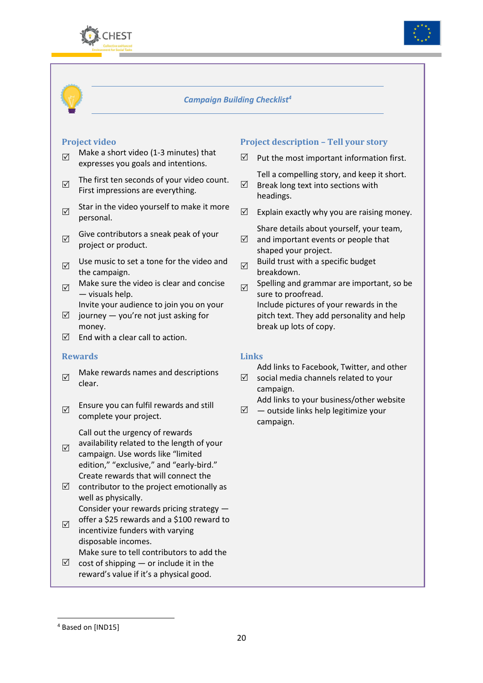



#### *Campaign Building Checklist<sup>4</sup>*

- $\overline{\mathsf{M}}$ Make a short video (1-3 minutes) that expresses you goals and intentions.
- $\triangledown$ The first ten seconds of your video count. First impressions are everything.  $\boxdot$
- $\sqrt{ }$ Star in the video yourself to make it more  $\Box$
- $\triangledown$ Give contributors a sneak peak of your  $\Box$
- $\triangledown$ Use music to set a tone for the video and  $\Box$
- $\triangledown$ Make sure the video is clear and concise  $\Box$ <br>
— visuals help.
	- Invite your audience to join you on your
- $\boxtimes$  journey you're not just asking for money.
- $\Box$  End with a clear call to action.

#### **Rewards Links**

- $\Delta$ Make rewards names and descriptions  $\Box$
- $\triangledown$ Ensure you can fulfil rewards and still complete your project.

Call out the urgency of rewards

- $\overline{\mathsf{M}}$ availability related to the length of your campaign. Use words like "limited edition," "exclusive," and "early-bird." Create rewards that will connect the
- $\Box$  contributor to the project emotionally as well as physically. Consider your rewards pricing strategy —
- $\overline{\vee}$ offer a \$25 rewards and a \$100 reward to incentivize funders with varying disposable incomes.
- $\boxtimes$  cost of shipping or include it in the Make sure to tell contributors to add the
- reward's value if it's a physical good.

#### **Project video Project description – Tell your story**

 $\triangledown$  Put the most important information first.

Tell a compelling story, and keep it short. Break long text into sections with

- headings.
- $\triangledown$  Explain exactly why you are raising money.

 $\Delta$ Share details about yourself, your team, and important events or people that

- shaped your project.
- Build trust with a specific budget breakdown.

Spelling and grammar are important, so be sure to proofread. Include pictures of your rewards in the pitch text. They add personality and help break up lots of copy.

Add links to Facebook, Twitter, and other

 social media channels related to your campaign.

Add links to your business/other website

 — outside links help legitimize your campaign.

 $\overline{a}$ 

<sup>4</sup> Based on [IND15]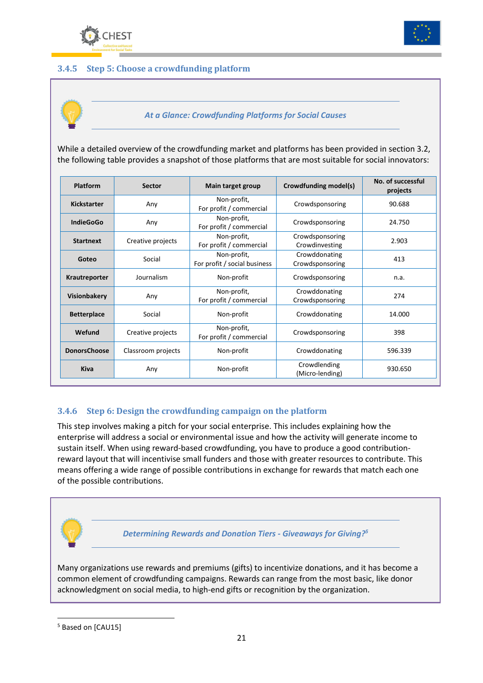



#### **3.4.5 Step 5: Choose a crowdfunding platform**



*At a Glance: Crowdfunding Platforms for Social Causes* 

While a detailed overview of the crowdfunding market and platforms has been provided in section 3.2, the following table provides a snapshot of those platforms that are most suitable for social innovators:

| Platform<br><b>Sector</b> |                    | Main target group                           | Crowdfunding model(s)             | No. of successful<br>projects |
|---------------------------|--------------------|---------------------------------------------|-----------------------------------|-------------------------------|
| Kickstarter               | Any                | Non-profit,<br>For profit / commercial      | Crowdsponsoring                   | 90.688                        |
| <b>IndieGoGo</b>          | Any                | Non-profit,<br>For profit / commercial      | Crowdsponsoring                   | 24.750                        |
| <b>Startnext</b>          | Creative projects  | Non-profit,<br>For profit / commercial      | Crowdsponsoring<br>Crowdinvesting | 2.903                         |
| Social<br>Goteo           |                    | Non-profit,<br>For profit / social business | Crowddonating<br>Crowdsponsoring  | 413                           |
| Krautreporter             | Journalism         | Non-profit                                  | Crowdsponsoring                   | n.a.                          |
| <b>Visionbakery</b>       | Any                | Non-profit,<br>For profit / commercial      | Crowddonating<br>Crowdsponsoring  | 274                           |
| <b>Betterplace</b>        | Social             | Non-profit                                  | Crowddonating                     | 14.000                        |
| Wefund                    | Creative projects  | Non-profit,<br>For profit / commercial      | Crowdsponsoring                   | 398                           |
| <b>DonorsChoose</b>       | Classroom projects | Non-profit                                  | Crowddonating                     | 596.339                       |
| <b>Kiva</b>               | Any                | Non-profit                                  | Crowdlending<br>(Micro-lending)   | 930.650                       |

#### **3.4.6 Step 6: Design the crowdfunding campaign on the platform**

This step involves making a pitch for your social enterprise. This includes explaining how the enterprise will address a social or environmental issue and how the activity will generate income to sustain itself. When using reward-based crowdfunding, you have to produce a good contributionreward layout that will incentivise small funders and those with greater resources to contribute. This means offering a wide range of possible contributions in exchange for rewards that match each one of the possible contributions.



acknowledgment on social media, to high-end gifts or recognition by the organization.

 $\overline{a}$ 

<sup>&</sup>lt;sup>5</sup> Based on [CAU15]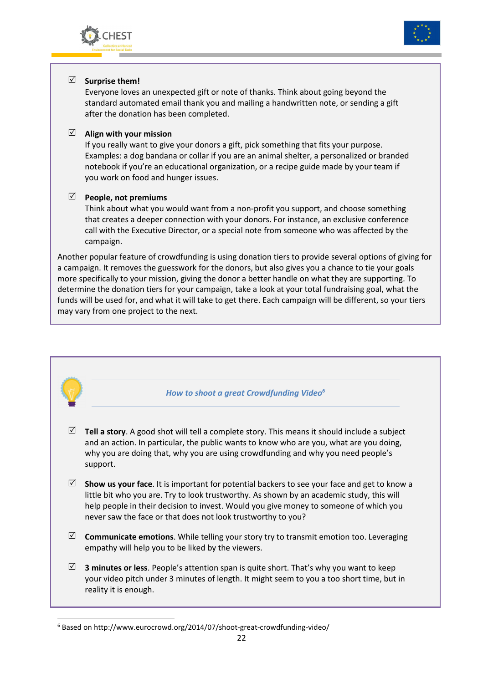



## - **Surprise them!**

Everyone loves an unexpected gift or note of thanks. Think about going beyond the standard automated email thank you and mailing a handwritten note, or sending a gift after the donation has been completed.

## - **Align with your mission**

If you really want to give your donors a gift, pick something that fits your purpose. Examples: a dog bandana or collar if you are an animal shelter, a personalized or branded notebook if you're an educational organization, or a recipe guide made by your team if you work on food and hunger issues.

## - **People, not premiums**

Think about what you would want from a non-profit you support, and choose something that creates a deeper connection with your donors. For instance, an exclusive conference call with the Executive Director, or a special note from someone who was affected by the campaign.

Another popular feature of crowdfunding is using donation tiers to provide several options of giving for a campaign. It removes the guesswork for the donors, but also gives you a chance to tie your goals more specifically to your mission, giving the donor a better handle on what they are supporting. To determine the donation tiers for your campaign, take a look at your total fundraising goal, what the funds will be used for, and what it will take to get there. Each campaign will be different, so your tiers may vary from one project to the next.



<sup>&</sup>lt;sup>6</sup> Based on http://www.eurocrowd.org/2014/07/shoot-great-crowdfunding-video/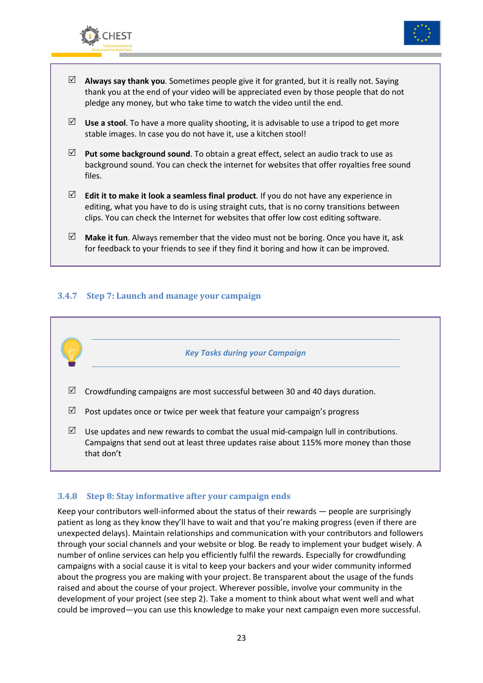



- $\Box$  **Always say thank you**. Sometimes people give it for granted, but it is really not. Saying thank you at the end of your video will be appreciated even by those people that do not pledge any money, but who take time to watch the video until the end.
- $\Box$  Use a stool. To have a more quality shooting, it is advisable to use a tripod to get more stable images. In case you do not have it, use a kitchen stool!
- $\boxtimes$  **Put some background sound**. To obtain a great effect, select an audio track to use as background sound. You can check the internet for websites that offer royalties free sound files.
- $\Box$  **Edit it to make it look a seamless final product**. If you do not have any experience in editing, what you have to do is using straight cuts, that is no corny transitions between clips. You can check the Internet for websites that offer low cost editing software.
- $\Box$  **Make it fun**. Always remember that the video must not be boring. Once you have it, ask for feedback to your friends to see if they find it boring and how it can be improved.

#### **3.4.7 Step 7: Launch and manage your campaign**



#### **3.4.8 Step 8: Stay informative after your campaign ends**

Keep your contributors well-informed about the status of their rewards — people are surprisingly patient as long as they know they'll have to wait and that you're making progress (even if there are unexpected delays). Maintain relationships and communication with your contributors and followers through your social channels and your website or blog. Be ready to implement your budget wisely. A number of online services can help you efficiently fulfil the rewards. Especially for crowdfunding campaigns with a social cause it is vital to keep your backers and your wider community informed about the progress you are making with your project. Be transparent about the usage of the funds raised and about the course of your project. Wherever possible, involve your community in the development of your project (see step 2). Take a moment to think about what went well and what could be improved—you can use this knowledge to make your next campaign even more successful.